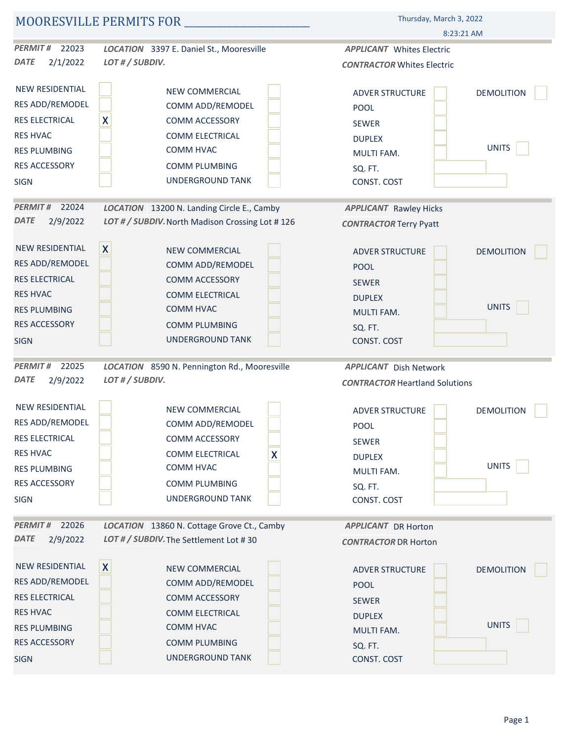| MOORESVILLE PERMITS FOR  |                                                 | Thursday, March 3, 2022                     |  |
|--------------------------|-------------------------------------------------|---------------------------------------------|--|
|                          |                                                 | 8:23:21 AM                                  |  |
| <b>PERMIT #</b><br>22023 | LOCATION 3397 E. Daniel St., Mooresville        | <b>APPLICANT</b> Whites Electric            |  |
| <b>DATE</b><br>2/1/2022  | LOT # / SUBDIV.                                 | <b>CONTRACTOR Whites Electric</b>           |  |
| NEW RESIDENTIAL          | NEW COMMERCIAL                                  | <b>DEMOLITION</b><br><b>ADVER STRUCTURE</b> |  |
| RES ADD/REMODEL          | COMM ADD/REMODEL                                | POOL                                        |  |
| RES ELECTRICAL           | $\boldsymbol{X}$<br><b>COMM ACCESSORY</b>       | <b>SEWER</b>                                |  |
| <b>RES HVAC</b>          | <b>COMM ELECTRICAL</b>                          | <b>DUPLEX</b>                               |  |
| <b>RES PLUMBING</b>      | COMM HVAC                                       | <b>UNITS</b><br>MULTI FAM.                  |  |
| RES ACCESSORY            | <b>COMM PLUMBING</b>                            | SQ. FT.                                     |  |
| <b>SIGN</b>              | UNDERGROUND TANK                                | CONST. COST                                 |  |
| <b>PERMIT#</b><br>22024  | LOCATION 13200 N. Landing Circle E., Camby      | <b>APPLICANT</b> Rawley Hicks               |  |
| <b>DATE</b><br>2/9/2022  | LOT # / SUBDIV. North Madison Crossing Lot #126 | <b>CONTRACTOR Terry Pyatt</b>               |  |
| NEW RESIDENTIAL          | $\mathsf{X}$<br><b>NEW COMMERCIAL</b>           | DEMOLITION<br><b>ADVER STRUCTURE</b>        |  |
| <b>RES ADD/REMODEL</b>   | COMM ADD/REMODEL                                | <b>POOL</b>                                 |  |
| <b>RES ELECTRICAL</b>    | <b>COMM ACCESSORY</b>                           | <b>SEWER</b>                                |  |
| <b>RES HVAC</b>          | <b>COMM ELECTRICAL</b>                          | <b>DUPLEX</b>                               |  |
| <b>RES PLUMBING</b>      | COMM HVAC                                       | UNITS<br>MULTI FAM.                         |  |
| <b>RES ACCESSORY</b>     | <b>COMM PLUMBING</b>                            | SQ. FT.                                     |  |
| <b>SIGN</b>              | UNDERGROUND TANK                                | CONST. COST                                 |  |
| 22025<br><b>PERMIT#</b>  | LOCATION 8590 N. Pennington Rd., Mooresville    | <b>APPLICANT</b> Dish Network               |  |
| <b>DATE</b><br>2/9/2022  | LOT#/SUBDIV.                                    | <b>CONTRACTOR Heartland Solutions</b>       |  |
| NEW RESIDENTIAL          | <b>NEW COMMERCIAL</b>                           | ADVER STRUCTURE<br><b>DEMOLITION</b>        |  |
| RES ADD/REMODEL          | COMM ADD/REMODEL                                | <b>POOL</b>                                 |  |
| RES ELECTRICAL           | <b>COMM ACCESSORY</b>                           | SEWER                                       |  |
| <b>RES HVAC</b>          | $\boldsymbol{X}$<br><b>COMM ELECTRICAL</b>      | <b>DUPLEX</b>                               |  |
| <b>RES PLUMBING</b>      | COMM HVAC                                       | <b>UNITS</b><br>MULTI FAM.                  |  |
| RES ACCESSORY            | COMM PLUMBING                                   | SQ. FT.                                     |  |
| SIGN                     | UNDERGROUND TANK                                | CONST. COST                                 |  |
| 22026<br><b>PERMIT#</b>  | LOCATION 13860 N. Cottage Grove Ct., Camby      | <b>APPLICANT</b> DR Horton                  |  |
| <b>DATE</b><br>2/9/2022  | LOT # / SUBDIV. The Settlement Lot #30          | <b>CONTRACTOR DR Horton</b>                 |  |
| NEW RESIDENTIAL          | X <br>NEW COMMERCIAL                            | <b>DEMOLITION</b><br><b>ADVER STRUCTURE</b> |  |
| RES ADD/REMODEL          | COMM ADD/REMODEL                                | POOL                                        |  |
| <b>RES ELECTRICAL</b>    | <b>COMM ACCESSORY</b>                           | SEWER                                       |  |
| <b>RES HVAC</b>          | <b>COMM ELECTRICAL</b>                          | <b>DUPLEX</b>                               |  |
| <b>RES PLUMBING</b>      | COMM HVAC                                       | UNITS<br>MULTI FAM.                         |  |
| <b>RES ACCESSORY</b>     | <b>COMM PLUMBING</b>                            | SQ. FT.                                     |  |
| <b>SIGN</b>              | UNDERGROUND TANK                                | CONST. COST                                 |  |
|                          |                                                 |                                             |  |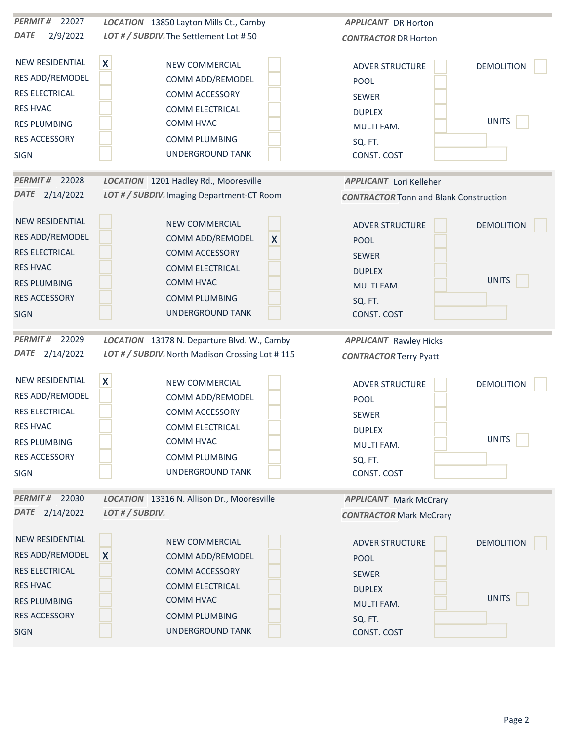| 22027<br><b>PERMIT#</b> | LOCATION 13850 Layton Mills Ct., Camby          | <b>APPLICANT</b> DR Horton                    |
|-------------------------|-------------------------------------------------|-----------------------------------------------|
| <b>DATE</b><br>2/9/2022 | LOT # / SUBDIV. The Settlement Lot #50          | <b>CONTRACTOR DR Horton</b>                   |
| <b>NEW RESIDENTIAL</b>  | $\pmb{\mathsf{X}}$<br>NEW COMMERCIAL            | <b>DEMOLITION</b><br><b>ADVER STRUCTURE</b>   |
| RES ADD/REMODEL         | COMM ADD/REMODEL                                | POOL                                          |
| RES ELECTRICAL          | COMM ACCESSORY                                  | <b>SEWER</b>                                  |
| <b>RES HVAC</b>         | COMM ELECTRICAL                                 | <b>DUPLEX</b>                                 |
| <b>RES PLUMBING</b>     | COMM HVAC                                       | <b>UNITS</b><br>MULTI FAM.                    |
| RES ACCESSORY           | <b>COMM PLUMBING</b>                            | SQ. FT.                                       |
| <b>SIGN</b>             | UNDERGROUND TANK                                | CONST. COST                                   |
| PERMIT# 22028           | LOCATION 1201 Hadley Rd., Mooresville           | <b>APPLICANT</b> Lori Kelleher                |
| DATE 2/14/2022          | LOT # / SUBDIV. Imaging Department-CT Room      | <b>CONTRACTOR Tonn and Blank Construction</b> |
| <b>NEW RESIDENTIAL</b>  | NEW COMMERCIAL                                  | <b>ADVER STRUCTURE</b><br><b>DEMOLITION</b>   |
| RES ADD/REMODEL         | COMM ADD/REMODEL<br>$\boldsymbol{X}$            | <b>POOL</b>                                   |
| RES ELECTRICAL          | <b>COMM ACCESSORY</b>                           | <b>SEWER</b>                                  |
| <b>RES HVAC</b>         | COMM ELECTRICAL                                 | <b>DUPLEX</b>                                 |
| <b>RES PLUMBING</b>     | COMM HVAC                                       | <b>UNITS</b><br><b>MULTI FAM.</b>             |
| <b>RES ACCESSORY</b>    | <b>COMM PLUMBING</b>                            | SQ. FT.                                       |
| <b>SIGN</b>             | <b>UNDERGROUND TANK</b>                         | CONST. COST                                   |
| <b>PERMIT#</b><br>22029 | LOCATION 13178 N. Departure Blvd. W., Camby     | <b>APPLICANT</b> Rawley Hicks                 |
| DATE 2/14/2022          | LOT # / SUBDIV. North Madison Crossing Lot #115 | <b>CONTRACTOR Terry Pyatt</b>                 |
| <b>NEW RESIDENTIAL</b>  | $\mathsf{X}$<br>NEW COMMERCIAL                  | <b>ADVER STRUCTURE</b><br><b>DEMOLITION</b>   |
| RES ADD/REMODEL         | COMM ADD/REMODEL                                | POOL                                          |
| RES ELECTRICAL          | COMM ACCESSORY                                  | SEWER                                         |
| <b>RES HVAC</b>         | <b>COMM ELECTRICAL</b>                          | <b>DUPLEX</b>                                 |
| <b>RES PLUMBING</b>     | COMM HVAC                                       | <b>UNITS</b><br>MULTI FAM.                    |
| RES ACCESSORY           | <b>COMM PLUMBING</b>                            | SQ. FT.                                       |
| <b>SIGN</b>             | UNDERGROUND TANK                                | CONST. COST                                   |
| PERMIT# 22030           | LOCATION 13316 N. Allison Dr., Mooresville      | <b>APPLICANT</b> Mark McCrary                 |
| DATE 2/14/2022          | LOT # / SUBDIV.                                 | <b>CONTRACTOR Mark McCrary</b>                |
| <b>NEW RESIDENTIAL</b>  | NEW COMMERCIAL                                  | <b>DEMOLITION</b><br><b>ADVER STRUCTURE</b>   |
| RES ADD/REMODEL         | $\mathsf{X}$<br>COMM ADD/REMODEL                | <b>POOL</b>                                   |
| <b>RES ELECTRICAL</b>   | COMM ACCESSORY                                  | <b>SEWER</b>                                  |
| <b>RES HVAC</b>         | COMM ELECTRICAL                                 | <b>DUPLEX</b>                                 |
| <b>RES PLUMBING</b>     | COMM HVAC                                       | <b>UNITS</b><br>MULTI FAM.                    |
| <b>RES ACCESSORY</b>    | <b>COMM PLUMBING</b>                            | SQ. FT.                                       |
| <b>SIGN</b>             | UNDERGROUND TANK                                | CONST. COST                                   |
|                         |                                                 |                                               |